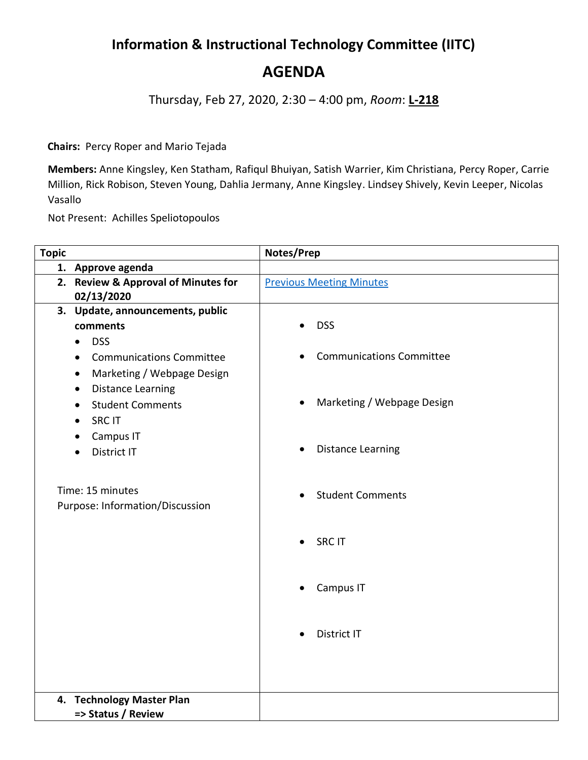## **Information & Instructional Technology Committee (IITC)**

**AGENDA**

Thursday, Feb 27, 2020, 2:30 – 4:00 pm, *Room*: **L-218**

**Chairs:** Percy Roper and Mario Tejada

**Members:** Anne Kingsley, Ken Statham, Rafiqul Bhuiyan, Satish Warrier, Kim Christiana, Percy Roper, Carrie Million, Rick Robison, Steven Young, Dahlia Jermany, Anne Kingsley. Lindsey Shively, Kevin Leeper, Nicolas Vasallo

Not Present: Achilles Speliotopoulos

| <b>Topic</b> |                                              | Notes/Prep                      |
|--------------|----------------------------------------------|---------------------------------|
|              | 1. Approve agenda                            |                                 |
|              | 2. Review & Approval of Minutes for          | <b>Previous Meeting Minutes</b> |
|              | 02/13/2020                                   |                                 |
|              | 3. Update, announcements, public             |                                 |
|              | comments                                     | <b>DSS</b>                      |
|              | <b>DSS</b><br>$\bullet$                      |                                 |
|              | <b>Communications Committee</b><br>$\bullet$ | <b>Communications Committee</b> |
|              | Marketing / Webpage Design<br>$\bullet$      |                                 |
|              | <b>Distance Learning</b><br>$\bullet$        |                                 |
|              | <b>Student Comments</b><br>$\bullet$         | Marketing / Webpage Design      |
|              | <b>SRC IT</b>                                |                                 |
|              | Campus IT<br>$\bullet$                       |                                 |
|              | <b>District IT</b>                           | <b>Distance Learning</b>        |
|              |                                              |                                 |
|              |                                              |                                 |
|              | Time: 15 minutes                             | <b>Student Comments</b>         |
|              | Purpose: Information/Discussion              |                                 |
|              |                                              |                                 |
|              |                                              | <b>SRC IT</b>                   |
|              |                                              |                                 |
|              |                                              |                                 |
|              |                                              | Campus IT                       |
|              |                                              |                                 |
|              |                                              |                                 |
|              |                                              | District IT                     |
|              |                                              |                                 |
|              |                                              |                                 |
|              |                                              |                                 |
|              | 4. Technology Master Plan                    |                                 |
|              | => Status / Review                           |                                 |
|              |                                              |                                 |